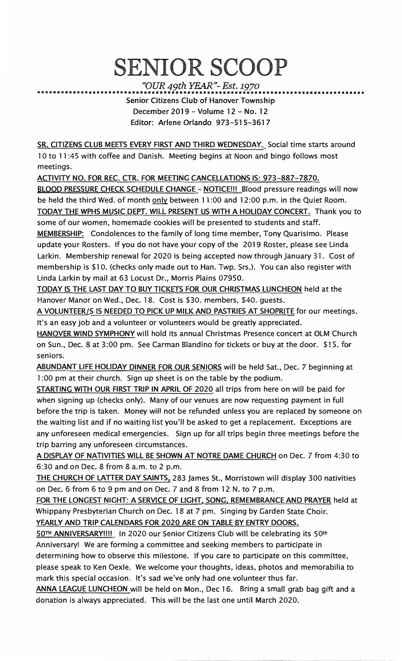## SENIOR SCOOP

*"OUR 49th YEAR"- Est. 1970* 

••••••••••••••••••••••••••••••••••••••••••••••••••••••••••••••••••••••••••••••••••• Senior Citizens Club of Hanover Township December 2019 - Volume 12 - No. 12 Editor: Arlene Orlando 973-515-3617

SR. CITIZENS CLUB MEETS EVERY FIRST AND THIRD WEDNESDAY. Social time starts around 1 0 to 11 :45 with coffee and Danish. Meeting begins at Noon and bingo follows most meetings.

ACTIVITY NO. FOR REC. CTR. FOR MEETING CANCELLATIONS IS: 973-887-7870.

BLOOD PRESSURE CHECK SCHEDULE CHANGE - NOTICE!!! Blood pressure readings will now be held the third Wed. of month only between 11:00 and 12:00 p.m. in the Quiet Room. TODAY THE WPHS MUSIC DEPT. Will PRESENT US WITH A HOLIDAY CONCERT. Thank you to

some of our women, homemade cookies will be presented to students and staff. MEMBERSHIP: Condolences to the family of long time member, Tony Quarisimo. Please update your Rosters. If you do not have your copy of the 2019 Roster, please see Linda Larkin. Membership renewal for 2020 is being accepted now through January 31. Cost of membership is \$10. (checks only made out to Han. Twp. Srs.). You can also register with Linda Larkin by mail at 63 Locust Dr., Morris Plains 07950.

TODAY IS THE LAST DAY TO BUY TICKETS FOR OUR CHRISTMAS LUNCHEON held at the Hanover Manor on Wed., Dec. 18. Cost is \$30. members, \$40. guests.

A VOLUNTEER/S IS NEEDED TO PICK UP MILK AND PASTRIES AT SHOPRITE for our meetings. It's an easy job and a volunteer or volunteers would be greatly appreciated.

HANOVER WIND SYMPHONY will hold its annual Christmas Presence concert at OLM Church on Sun., Dec. 8 at 3:00 pm. See Carman Blandino for tickets or buy at the door. \$15. for seniors.

ABUNDANT LIFE HOLIDAY DINNER FOR OUR SENIORS will be held Sat., Dec. 7 beginning at 1 :00 pm at their church. Sign up sheet is on the table by the podium.

STARTING WITH OUR FIRST TRIP IN APRIL OF 2020 all trips from here on will be paid for when signing up (checks only). Many of our venues are now requesting payment in full before the trip is taken. Money will not be refunded unless you are replaced by someone on the waiting list and if no waiting list you'll be asked to get a replacement. Exceptions are any unforeseen medical emergencies. Sign up for all trips begin three meetings before the trip barring any unforeseen circumstances.

A DISPLAY OF NATIVITIES WILL BE SHOWN AT NOTRE DAME CHURCH on Dec. 7 from 4:30 to 6:30 and on Dec. 8 from 8 a.m. to 2 p.m.

THE CHURCH OF LATTER DAY SAINTS, 283 James St., Morristown will display 300 nativities on Dec. 6 from 6 to 9 pm and on Dec. 7 and 8 from 12 N. to 7 p.m.

FOR THE LONGEST NIGHT: A SERVICE OF LIGHT, SONG, REMEMBRANCE AND PRAYER held at Whippany Presbyterian Church on Dec. 18 at 7 pm. Singing by Garden State Choir. YEARLY AND TRIP CALENDARS FOR 2020 ARE ON TABLE BY ENTRY DOORS.

50TH ANNIVERSARY!!!! In 2020 our Senior Citizens Club will be celebrating its 50**th** Anniversary! We are forming a committee and seeking members to participate in determining how to observe this milestone. If you care to participate on this committee,

please speak to Ken Oexle. We welcome your thoughts, ideas, photos and memorabilia to mark this special occasion. It's sad we've only had one volunteer thus far.

ANNA LEAGUE LUNCHEON will be held on Mon., Dec 16. Bring a small grab bag gift and a donation is always appreciated. This will be the last one until March 2020.